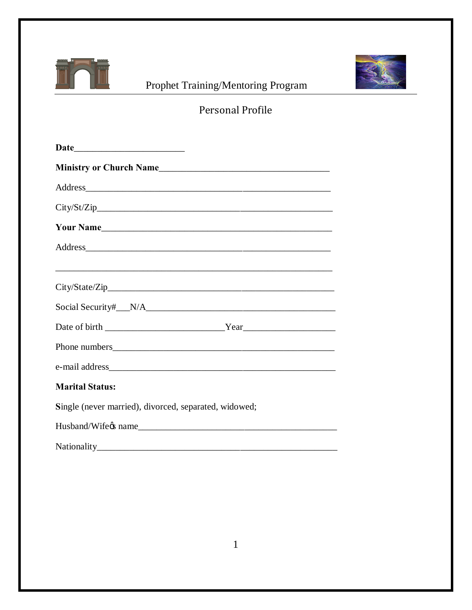

## Prophet Training/Mentoring Program



## Personal Profile

| City/St/Zip                                                                                                                                                                                                                   |
|-------------------------------------------------------------------------------------------------------------------------------------------------------------------------------------------------------------------------------|
|                                                                                                                                                                                                                               |
| Address experiences and the set of the set of the set of the set of the set of the set of the set of the set of the set of the set of the set of the set of the set of the set of the set of the set of the set of the set of |
|                                                                                                                                                                                                                               |
|                                                                                                                                                                                                                               |
|                                                                                                                                                                                                                               |
|                                                                                                                                                                                                                               |
|                                                                                                                                                                                                                               |
| <b>Marital Status:</b>                                                                                                                                                                                                        |
| Single (never married), divorced, separated, widowed;                                                                                                                                                                         |
| Husband/Wife & name                                                                                                                                                                                                           |
|                                                                                                                                                                                                                               |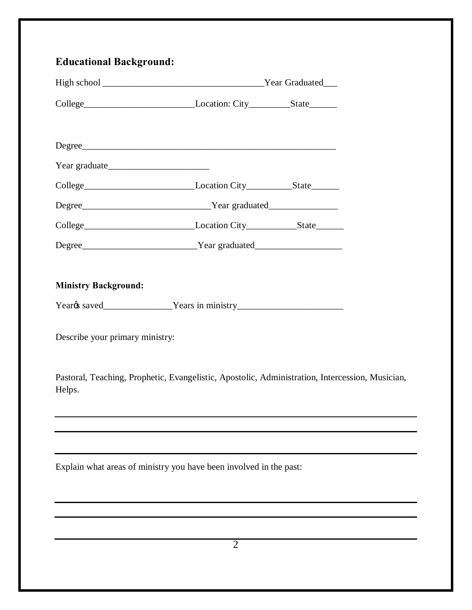| <b>Educational Background:</b>                                                                            |                |  |  |
|-----------------------------------------------------------------------------------------------------------|----------------|--|--|
|                                                                                                           |                |  |  |
|                                                                                                           |                |  |  |
|                                                                                                           |                |  |  |
| Degree                                                                                                    |                |  |  |
|                                                                                                           |                |  |  |
| College_________________________________Location City_____________State_________                          |                |  |  |
|                                                                                                           |                |  |  |
|                                                                                                           |                |  |  |
|                                                                                                           |                |  |  |
|                                                                                                           |                |  |  |
| <b>Ministry Background:</b>                                                                               |                |  |  |
|                                                                                                           |                |  |  |
| Describe your primary ministry:                                                                           |                |  |  |
| Pastoral, Teaching, Prophetic, Evangelistic, Apostolic, Administration, Intercession, Musician,<br>Helps. |                |  |  |
|                                                                                                           |                |  |  |
|                                                                                                           |                |  |  |
| Explain what areas of ministry you have been involved in the past:                                        |                |  |  |
|                                                                                                           |                |  |  |
|                                                                                                           |                |  |  |
|                                                                                                           |                |  |  |
|                                                                                                           | $\overline{2}$ |  |  |
|                                                                                                           |                |  |  |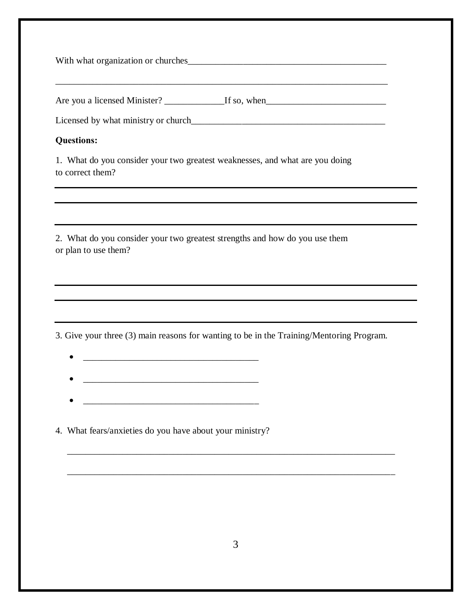| With what organization or churches |
|------------------------------------|
|                                    |
|                                    |

Are you a licensed Minister? \_\_\_\_\_\_\_\_\_\_\_\_\_\_If so, when\_\_\_\_\_\_\_\_\_\_\_\_\_\_\_\_\_\_\_\_\_\_\_\_\_\_\_

Licensed by what ministry or church

## **Questions:**

1. What do you consider your two greatest weaknesses, and what are you doing to correct them?

2. What do you consider your two greatest strengths and how do you use them or plan to use them?

3. Give your three (3) main reasons for wanting to be in the Training/Mentoring Program.

- · \_\_\_\_\_\_\_\_\_\_\_\_\_\_\_\_\_\_\_\_\_\_\_\_\_\_\_\_\_\_\_\_\_\_\_\_\_\_
- · \_\_\_\_\_\_\_\_\_\_\_\_\_\_\_\_\_\_\_\_\_\_\_\_\_\_\_\_\_\_\_\_\_\_\_\_\_\_
- · \_\_\_\_\_\_\_\_\_\_\_\_\_\_\_\_\_\_\_\_\_\_\_\_\_\_\_\_\_\_\_\_\_\_\_\_\_\_

4. What fears/anxieties do you have about your ministry?

\_\_\_\_\_\_\_\_\_\_\_\_\_\_\_\_\_\_\_\_\_\_\_\_\_\_\_\_\_\_\_\_\_\_\_\_\_\_\_\_\_\_\_\_\_\_\_\_\_\_\_\_\_\_\_\_\_\_\_\_\_\_\_\_\_\_\_\_\_\_\_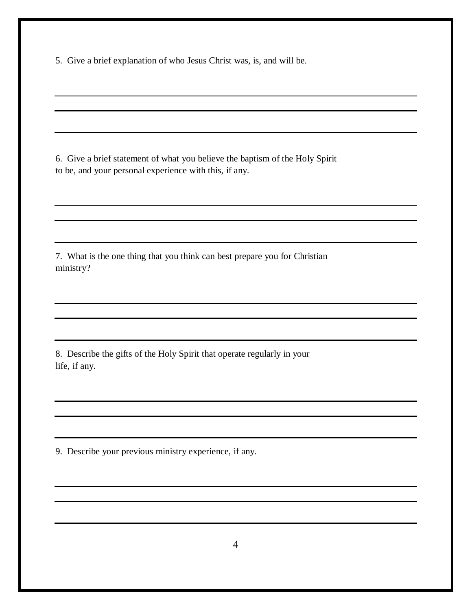5. Give a brief explanation of who Jesus Christ was, is, and will be.

6. Give a brief statement of what you believe the baptism of the Holy Spirit to be, and your personal experience with this, if any.

7. What is the one thing that you think can best prepare you for Christian ministry?

8. Describe the gifts of the Holy Spirit that operate regularly in your life, if any.

9. Describe your previous ministry experience, if any.